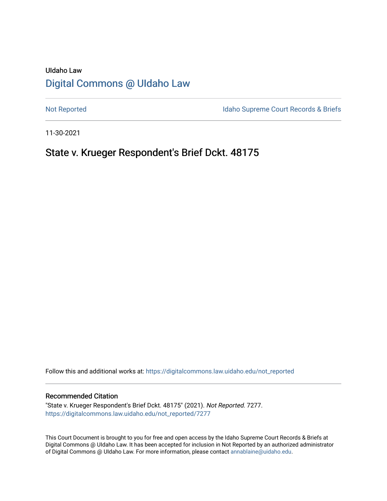# UIdaho Law [Digital Commons @ UIdaho Law](https://digitalcommons.law.uidaho.edu/)

[Not Reported](https://digitalcommons.law.uidaho.edu/not_reported) **Idaho Supreme Court Records & Briefs** 

11-30-2021

# State v. Krueger Respondent's Brief Dckt. 48175

Follow this and additional works at: [https://digitalcommons.law.uidaho.edu/not\\_reported](https://digitalcommons.law.uidaho.edu/not_reported?utm_source=digitalcommons.law.uidaho.edu%2Fnot_reported%2F7277&utm_medium=PDF&utm_campaign=PDFCoverPages) 

#### Recommended Citation

"State v. Krueger Respondent's Brief Dckt. 48175" (2021). Not Reported. 7277. [https://digitalcommons.law.uidaho.edu/not\\_reported/7277](https://digitalcommons.law.uidaho.edu/not_reported/7277?utm_source=digitalcommons.law.uidaho.edu%2Fnot_reported%2F7277&utm_medium=PDF&utm_campaign=PDFCoverPages)

This Court Document is brought to you for free and open access by the Idaho Supreme Court Records & Briefs at Digital Commons @ UIdaho Law. It has been accepted for inclusion in Not Reported by an authorized administrator of Digital Commons @ UIdaho Law. For more information, please contact [annablaine@uidaho.edu](mailto:annablaine@uidaho.edu).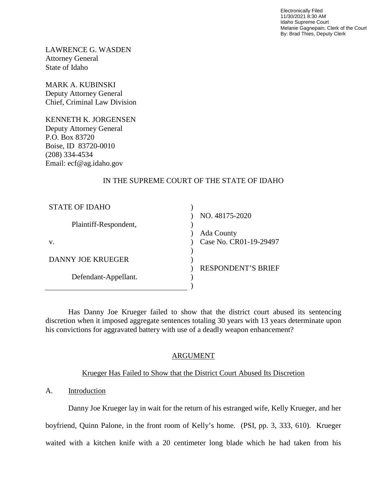Electronically Filed 11/30/2021 8:30 AM Idaho Supreme Court Melanie Gagnepain, Clerk of the Court By: Brad Thies, Deputy Clerk

LAWRENCE G. WASDEN Attorney General State of Idaho

MARK A. KUBINSKI Deputy Attorney General Chief, Criminal Law Division

KENNETH K. JORGENSEN Deputy Attorney General P.O. Box 83720 Boise, ID 83720-0010 (208) 334-4534 Email: ecf@ag.idaho.gov

# IN THE SUPREME COURT OF THE STATE OF IDAHO

| <b>STATE OF IDAHO</b>    |                           |
|--------------------------|---------------------------|
|                          | NO. 48175-2020            |
| Plaintiff-Respondent,    |                           |
|                          | Ada County                |
| V.                       | Case No. CR01-19-29497    |
|                          |                           |
| <b>DANNY JOE KRUEGER</b> |                           |
|                          | <b>RESPONDENT'S BRIEF</b> |
| Defendant-Appellant.     |                           |
|                          |                           |

Has Danny Joe Krueger failed to show that the district court abused its sentencing discretion when it imposed aggregate sentences totaling 30 years with 13 years determinate upon his convictions for aggravated battery with use of a deadly weapon enhancement?

## ARGUMENT

## Krueger Has Failed to Show that the District Court Abused Its Discretion

## A. Introduction

Danny Joe Krueger lay in wait for the return of his estranged wife, Kelly Krueger, and her boyfriend, Quinn Palone, in the front room of Kelly's home. (PSI, pp. 3, 333, 610). Krueger waited with a kitchen knife with a 20 centimeter long blade which he had taken from his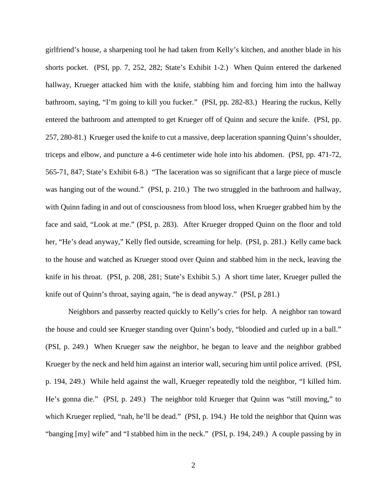girlfriend's house, a sharpening tool he had taken from Kelly's kitchen, and another blade in his shorts pocket. (PSI, pp. 7, 252, 282; State's Exhibit 1-2.) When Quinn entered the darkened hallway, Krueger attacked him with the knife, stabbing him and forcing him into the hallway bathroom, saying, "I'm going to kill you fucker." (PSI, pp. 282-83.) Hearing the ruckus, Kelly entered the bathroom and attempted to get Krueger off of Quinn and secure the knife. (PSI, pp. 257, 280-81.) Krueger used the knife to cut a massive, deep laceration spanning Quinn's shoulder, triceps and elbow, and puncture a 4-6 centimeter wide hole into his abdomen. (PSI, pp. 471-72, 565-71, 847; State's Exhibit 6-8.) "The laceration was so significant that a large piece of muscle was hanging out of the wound." (PSI, p. 210.) The two struggled in the bathroom and hallway, with Quinn fading in and out of consciousness from blood loss, when Krueger grabbed him by the face and said, "Look at me." (PSI, p. 283). After Krueger dropped Quinn on the floor and told her, "He's dead anyway," Kelly fled outside, screaming for help. (PSI, p. 281.) Kelly came back to the house and watched as Krueger stood over Quinn and stabbed him in the neck, leaving the knife in his throat. (PSI, p. 208, 281; State's Exhibit 5.) A short time later, Krueger pulled the knife out of Quinn's throat, saying again, "he is dead anyway." (PSI, p 281.)

Neighbors and passerby reacted quickly to Kelly's cries for help. A neighbor ran toward the house and could see Krueger standing over Quinn's body, "bloodied and curled up in a ball." (PSI, p. 249.) When Krueger saw the neighbor, he began to leave and the neighbor grabbed Krueger by the neck and held him against an interior wall, securing him until police arrived. (PSI, p. 194, 249.) While held against the wall, Krueger repeatedly told the neighbor, "I killed him. He's gonna die." (PSI, p. 249.) The neighbor told Krueger that Quinn was "still moving," to which Krueger replied, "nah, he'll be dead." (PSI, p. 194.) He told the neighbor that Quinn was "banging [my] wife" and "I stabbed him in the neck." (PSI, p. 194, 249.) A couple passing by in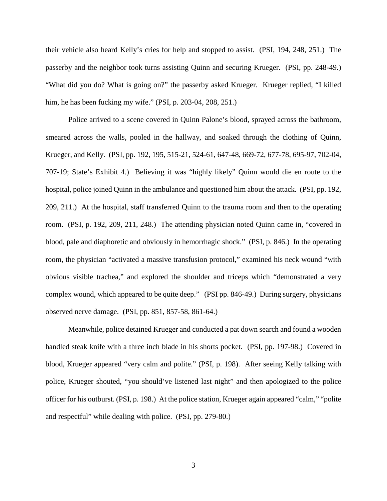their vehicle also heard Kelly's cries for help and stopped to assist. (PSI, 194, 248, 251.) The passerby and the neighbor took turns assisting Quinn and securing Krueger. (PSI, pp. 248-49.) "What did you do? What is going on?" the passerby asked Krueger. Krueger replied, "I killed him, he has been fucking my wife." (PSI, p. 203-04, 208, 251.)

Police arrived to a scene covered in Quinn Palone's blood, sprayed across the bathroom, smeared across the walls, pooled in the hallway, and soaked through the clothing of Quinn, Krueger, and Kelly. (PSI, pp. 192, 195, 515-21, 524-61, 647-48, 669-72, 677-78, 695-97, 702-04, 707-19; State's Exhibit 4.) Believing it was "highly likely" Quinn would die en route to the hospital, police joined Quinn in the ambulance and questioned him about the attack. (PSI, pp. 192, 209, 211.) At the hospital, staff transferred Quinn to the trauma room and then to the operating room. (PSI, p. 192, 209, 211, 248.) The attending physician noted Quinn came in, "covered in blood, pale and diaphoretic and obviously in hemorrhagic shock." (PSI, p. 846.) In the operating room, the physician "activated a massive transfusion protocol," examined his neck wound "with obvious visible trachea," and explored the shoulder and triceps which "demonstrated a very complex wound, which appeared to be quite deep." (PSI pp. 846-49.) During surgery, physicians observed nerve damage. (PSI, pp. 851, 857-58, 861-64.)

Meanwhile, police detained Krueger and conducted a pat down search and found a wooden handled steak knife with a three inch blade in his shorts pocket. (PSI, pp. 197-98.) Covered in blood, Krueger appeared "very calm and polite." (PSI, p. 198). After seeing Kelly talking with police, Krueger shouted, "you should've listened last night" and then apologized to the police officer for his outburst. (PSI, p. 198.) At the police station, Krueger again appeared "calm," "polite and respectful" while dealing with police. (PSI, pp. 279-80.)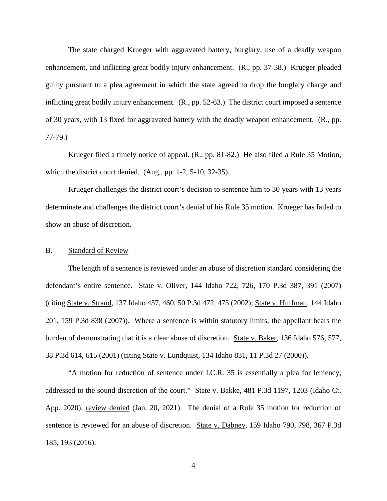The state charged Krueger with aggravated battery, burglary, use of a deadly weapon enhancement, and inflicting great bodily injury enhancement. (R., pp. 37-38.) Krueger pleaded guilty pursuant to a plea agreement in which the state agreed to drop the burglary charge and inflicting great bodily injury enhancement. (R., pp. 52-63.) The district court imposed a sentence of 30 years, with 13 fixed for aggravated battery with the deadly weapon enhancement. (R., pp. 77-79.)

Krueger filed a timely notice of appeal. (R., pp. 81-82.) He also filed a Rule 35 Motion, which the district court denied. (Aug., pp. 1-2, 5-10, 32-35).

Krueger challenges the district court's decision to sentence him to 30 years with 13 years determinate and challenges the district court's denial of his Rule 35 motion. Krueger has failed to show an abuse of discretion.

### B. Standard of Review

The length of a sentence is reviewed under an abuse of discretion standard considering the defendant's entire sentence. State v. Oliver, 144 Idaho 722, 726, 170 P.3d 387, 391 (2007) (citing State v. Strand, 137 Idaho 457, 460, 50 P.3d 472, 475 (2002); State v. Huffman, 144 Idaho 201, 159 P.3d 838 (2007)). Where a sentence is within statutory limits, the appellant bears the burden of demonstrating that it is a clear abuse of discretion. State v. Baker, 136 Idaho 576, 577, 38 P.3d 614, 615 (2001) (citing State v. Lundquist, 134 Idaho 831, 11 P.3d 27 (2000)).

"A motion for reduction of sentence under I.C.R. 35 is essentially a plea for leniency, addressed to the sound discretion of the court." State v. Bakke, 481 P.3d 1197, 1203 (Idaho Ct. App. 2020), review denied (Jan. 20, 2021). The denial of a Rule 35 motion for reduction of sentence is reviewed for an abuse of discretion. State v. Dabney, 159 Idaho 790, 798, 367 P.3d 185, 193 (2016).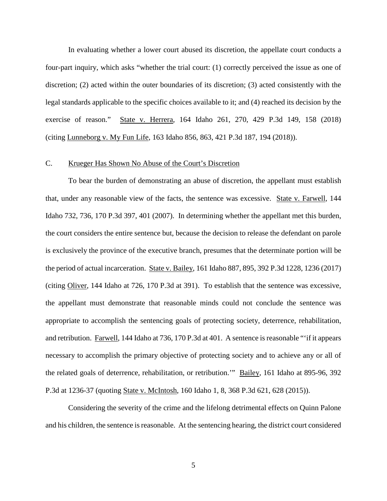In evaluating whether a lower court abused its discretion, the appellate court conducts a four-part inquiry, which asks "whether the trial court: (1) correctly perceived the issue as one of discretion; (2) acted within the outer boundaries of its discretion; (3) acted consistently with the legal standards applicable to the specific choices available to it; and (4) reached its decision by the exercise of reason." State v. Herrera, 164 Idaho 261, 270, 429 P.3d 149, 158 (2018) (citing Lunneborg v. My Fun Life, 163 Idaho 856, 863, 421 P.3d 187, 194 (2018)).

#### C. Krueger Has Shown No Abuse of the Court's Discretion

To bear the burden of demonstrating an abuse of discretion, the appellant must establish that, under any reasonable view of the facts, the sentence was excessive. State v. Farwell, 144 Idaho 732, 736, 170 P.3d 397, 401 (2007). In determining whether the appellant met this burden, the court considers the entire sentence but, because the decision to release the defendant on parole is exclusively the province of the executive branch, presumes that the determinate portion will be the period of actual incarceration. State v. Bailey, 161 Idaho 887, 895, 392 P.3d 1228, 1236 (2017) (citing Oliver, 144 Idaho at 726, 170 P.3d at 391). To establish that the sentence was excessive, the appellant must demonstrate that reasonable minds could not conclude the sentence was appropriate to accomplish the sentencing goals of protecting society, deterrence, rehabilitation, and retribution. Farwell, 144 Idaho at 736, 170 P.3d at 401. A sentence is reasonable "'if it appears necessary to accomplish the primary objective of protecting society and to achieve any or all of the related goals of deterrence, rehabilitation, or retribution.'" Bailey, 161 Idaho at 895-96, 392 P.3d at 1236-37 (quoting State v. McIntosh, 160 Idaho 1, 8, 368 P.3d 621, 628 (2015)).

Considering the severity of the crime and the lifelong detrimental effects on Quinn Palone and his children, the sentence is reasonable. At the sentencing hearing, the district court considered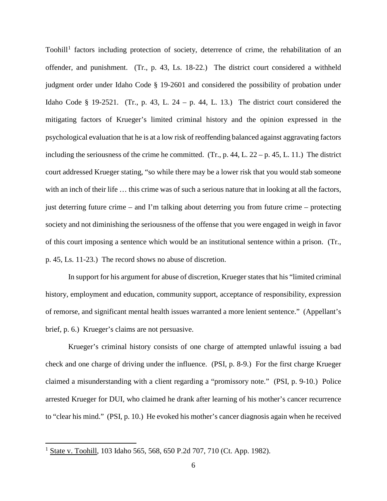Toohill<sup>[1](#page-6-0)</sup> factors including protection of society, deterrence of crime, the rehabilitation of an offender, and punishment. (Tr., p. 43, Ls. 18-22.) The district court considered a withheld judgment order under Idaho Code § 19-2601 and considered the possibility of probation under Idaho Code § 19-2521. (Tr., p. 43, L. 24 – p. 44, L. 13.) The district court considered the mitigating factors of Krueger's limited criminal history and the opinion expressed in the psychological evaluation that he is at a low risk of reoffending balanced against aggravating factors including the seriousness of the crime he committed. (Tr., p. 44, L.  $22 - p$ , 45, L. 11.) The district court addressed Krueger stating, "so while there may be a lower risk that you would stab someone with an inch of their life ... this crime was of such a serious nature that in looking at all the factors, just deterring future crime – and I'm talking about deterring you from future crime – protecting society and not diminishing the seriousness of the offense that you were engaged in weigh in favor of this court imposing a sentence which would be an institutional sentence within a prison. (Tr., p. 45, Ls. 11-23.) The record shows no abuse of discretion.

 In support for his argument for abuse of discretion, Krueger states that his "limited criminal history, employment and education, community support, acceptance of responsibility, expression of remorse, and significant mental health issues warranted a more lenient sentence." (Appellant's brief, p. 6.) Krueger's claims are not persuasive.

Krueger's criminal history consists of one charge of attempted unlawful issuing a bad check and one charge of driving under the influence. (PSI, p. 8-9.) For the first charge Krueger claimed a misunderstanding with a client regarding a "promissory note." (PSI, p. 9-10.) Police arrested Krueger for DUI, who claimed he drank after learning of his mother's cancer recurrence to "clear his mind." (PSI, p. 10.) He evoked his mother's cancer diagnosis again when he received

<span id="page-6-0"></span> 1 State v. Toohill, 103 Idaho 565, 568, 650 P.2d 707, 710 (Ct. App. 1982).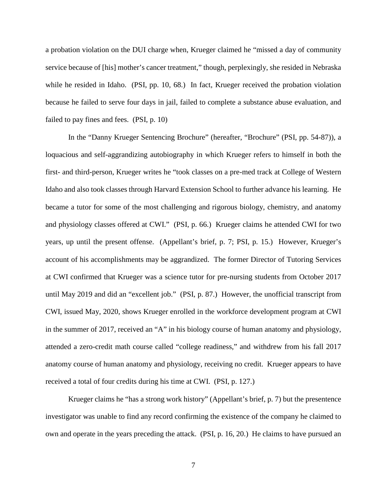a probation violation on the DUI charge when, Krueger claimed he "missed a day of community service because of [his] mother's cancer treatment," though, perplexingly, she resided in Nebraska while he resided in Idaho. (PSI, pp. 10, 68.) In fact, Krueger received the probation violation because he failed to serve four days in jail, failed to complete a substance abuse evaluation, and failed to pay fines and fees. (PSI, p. 10)

In the "Danny Krueger Sentencing Brochure" (hereafter, "Brochure" (PSI, pp. 54-87)), a loquacious and self-aggrandizing autobiography in which Krueger refers to himself in both the first- and third-person, Krueger writes he "took classes on a pre-med track at College of Western Idaho and also took classes through Harvard Extension School to further advance his learning. He became a tutor for some of the most challenging and rigorous biology, chemistry, and anatomy and physiology classes offered at CWI." (PSI, p. 66.) Krueger claims he attended CWI for two years, up until the present offense. (Appellant's brief, p. 7; PSI, p. 15.) However, Krueger's account of his accomplishments may be aggrandized. The former Director of Tutoring Services at CWI confirmed that Krueger was a science tutor for pre-nursing students from October 2017 until May 2019 and did an "excellent job." (PSI, p. 87.) However, the unofficial transcript from CWI, issued May, 2020, shows Krueger enrolled in the workforce development program at CWI in the summer of 2017, received an "A" in his biology course of human anatomy and physiology, attended a zero-credit math course called "college readiness," and withdrew from his fall 2017 anatomy course of human anatomy and physiology, receiving no credit. Krueger appears to have received a total of four credits during his time at CWI. (PSI, p. 127.)

Krueger claims he "has a strong work history" (Appellant's brief, p. 7) but the presentence investigator was unable to find any record confirming the existence of the company he claimed to own and operate in the years preceding the attack. (PSI, p. 16, 20.) He claims to have pursued an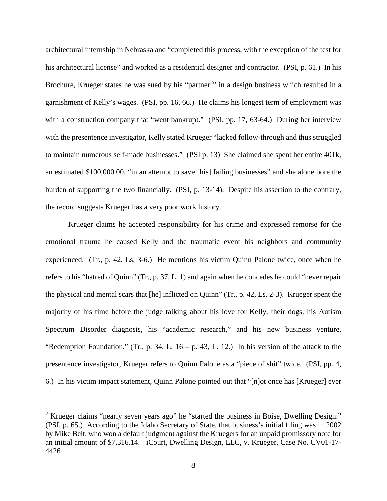architectural internship in Nebraska and "completed this process, with the exception of the test for his architectural license" and worked as a residential designer and contractor. (PSI, p. 61.) In his Brochure, Krueger states he was sued by his "partner<sup>[2](#page-8-0)</sup>" in a design business which resulted in a garnishment of Kelly's wages. (PSI, pp. 16, 66.) He claims his longest term of employment was with a construction company that "went bankrupt." (PSI, pp. 17, 63-64.) During her interview with the presentence investigator, Kelly stated Krueger "lacked follow-through and thus struggled to maintain numerous self-made businesses." (PSI p. 13) She claimed she spent her entire 401k, an estimated \$100,000.00, "in an attempt to save [his] failing businesses" and she alone bore the burden of supporting the two financially. (PSI, p. 13-14). Despite his assertion to the contrary, the record suggests Krueger has a very poor work history.

Krueger claims he accepted responsibility for his crime and expressed remorse for the emotional trauma he caused Kelly and the traumatic event his neighbors and community experienced. (Tr., p. 42, Ls. 3-6.) He mentions his victim Quinn Palone twice, once when he refers to his "hatred of Quinn" (Tr., p. 37, L. 1) and again when he concedes he could "never repair the physical and mental scars that [he] inflicted on Quinn" (Tr., p. 42, Ls. 2-3). Krueger spent the majority of his time before the judge talking about his love for Kelly, their dogs, his Autism Spectrum Disorder diagnosis, his "academic research," and his new business venture, "Redemption Foundation." (Tr., p. 34, L.  $16 - p$ . 43, L. 12.) In his version of the attack to the presentence investigator, Krueger refers to Quinn Palone as a "piece of shit" twice. (PSI, pp. 4, 6.) In his victim impact statement, Quinn Palone pointed out that "[n]ot once has [Krueger] ever

 $\overline{a}$ 

<span id="page-8-0"></span><sup>&</sup>lt;sup>2</sup> Krueger claims "nearly seven years ago" he "started the business in Boise, Dwelling Design." (PSI, p. 65.) According to the Idaho Secretary of State, that business's initial filing was in 2002 by Mike Belt, who won a default judgment against the Kruegers for an unpaid promissory note for an initial amount of \$7,316.14. iCourt, Dwelling Design, LLC, v. Krueger, Case No. CV01-17- 4426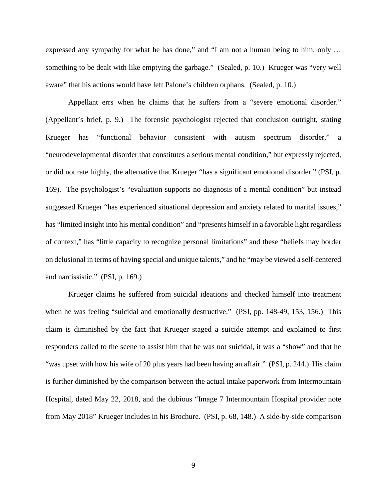expressed any sympathy for what he has done," and "I am not a human being to him, only ... something to be dealt with like emptying the garbage." (Sealed, p. 10.) Krueger was "very well aware" that his actions would have left Palone's children orphans. (Sealed, p. 10.)

 Appellant errs when he claims that he suffers from a "severe emotional disorder." (Appellant's brief, p. 9.) The forensic psychologist rejected that conclusion outright, stating Krueger has "functional behavior consistent with autism spectrum disorder," a "neurodevelopmental disorder that constitutes a serious mental condition," but expressly rejected, or did not rate highly, the alternative that Krueger "has a significant emotional disorder." (PSI, p. 169). The psychologist's "evaluation supports no diagnosis of a mental condition" but instead suggested Krueger "has experienced situational depression and anxiety related to marital issues," has "limited insight into his mental condition" and "presents himself in a favorable light regardless of context," has "little capacity to recognize personal limitations" and these "beliefs may border on delusional in terms of having special and unique talents," and he "may be viewed a self-centered and narcissistic." (PSI, p. 169.)

Krueger claims he suffered from suicidal ideations and checked himself into treatment when he was feeling "suicidal and emotionally destructive." (PSI, pp. 148-49, 153, 156.) This claim is diminished by the fact that Krueger staged a suicide attempt and explained to first responders called to the scene to assist him that he was not suicidal, it was a "show" and that he "was upset with how his wife of 20 plus years had been having an affair." (PSI, p. 244.) His claim is further diminished by the comparison between the actual intake paperwork from Intermountain Hospital, dated May 22, 2018, and the dubious "Image 7 Intermountain Hospital provider note from May 2018" Krueger includes in his Brochure. (PSI, p. 68, 148.) A side-by-side comparison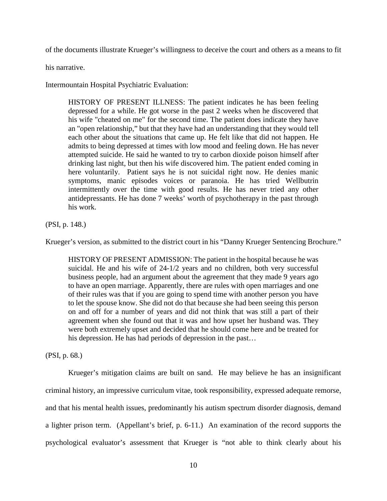of the documents illustrate Krueger's willingness to deceive the court and others as a means to fit

his narrative.

Intermountain Hospital Psychiatric Evaluation:

HISTORY OF PRESENT ILLNESS: The patient indicates he has been feeling depressed for a while. He got worse in the past 2 weeks when he discovered that his wife "cheated on me" for the second time. The patient does indicate they have an "open relationship," but that they have had an understanding that they would tell each other about the situations that came up. He felt like that did not happen. He admits to being depressed at times with low mood and feeling down. He has never attempted suicide. He said he wanted to try to carbon dioxide poison himself after drinking last night, but then his wife discovered him. The patient ended coming in here voluntarily. Patient says he is not suicidal right now. He denies manic symptoms, manic episodes voices or paranoia. He has tried Wellbutrin intermittently over the time with good results. He has never tried any other antidepressants. He has done 7 weeks' worth of psychotherapy in the past through his work.

(PSI, p. 148.)

Krueger's version, as submitted to the district court in his "Danny Krueger Sentencing Brochure."

HISTORY OF PRESENT ADMISSION: The patient in the hospital because he was suicidal. He and his wife of 24-1/2 years and no children, both very successful business people, had an argument about the agreement that they made 9 years ago to have an open marriage. Apparently, there are rules with open marriages and one of their rules was that if you are going to spend time with another person you have to let the spouse know. She did not do that because she had been seeing this person on and off for a number of years and did not think that was still a part of their agreement when she found out that it was and how upset her husband was. They were both extremely upset and decided that he should come here and be treated for his depression. He has had periods of depression in the past...

(PSI, p. 68.)

Krueger's mitigation claims are built on sand. He may believe he has an insignificant criminal history, an impressive curriculum vitae, took responsibility, expressed adequate remorse, and that his mental health issues, predominantly his autism spectrum disorder diagnosis, demand a lighter prison term. (Appellant's brief, p. 6-11.) An examination of the record supports the psychological evaluator's assessment that Krueger is "not able to think clearly about his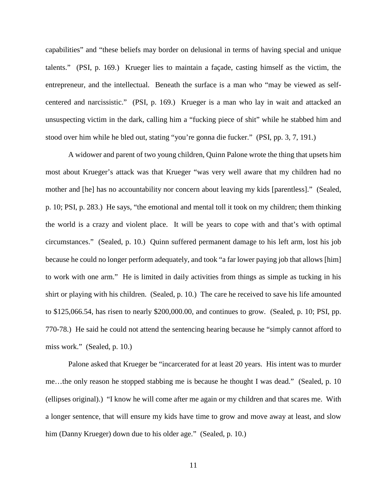capabilities" and "these beliefs may border on delusional in terms of having special and unique talents." (PSI, p. 169.) Krueger lies to maintain a façade, casting himself as the victim, the entrepreneur, and the intellectual. Beneath the surface is a man who "may be viewed as selfcentered and narcissistic." (PSI, p. 169.) Krueger is a man who lay in wait and attacked an unsuspecting victim in the dark, calling him a "fucking piece of shit" while he stabbed him and stood over him while he bled out, stating "you're gonna die fucker." (PSI, pp. 3, 7, 191.)

A widower and parent of two young children, Quinn Palone wrote the thing that upsets him most about Krueger's attack was that Krueger "was very well aware that my children had no mother and [he] has no accountability nor concern about leaving my kids [parentless]." (Sealed, p. 10; PSI, p. 283.) He says, "the emotional and mental toll it took on my children; them thinking the world is a crazy and violent place. It will be years to cope with and that's with optimal circumstances." (Sealed, p. 10.) Quinn suffered permanent damage to his left arm, lost his job because he could no longer perform adequately, and took "a far lower paying job that allows [him] to work with one arm." He is limited in daily activities from things as simple as tucking in his shirt or playing with his children. (Sealed, p. 10.) The care he received to save his life amounted to \$125,066.54, has risen to nearly \$200,000.00, and continues to grow. (Sealed, p. 10; PSI, pp. 770-78.) He said he could not attend the sentencing hearing because he "simply cannot afford to miss work." (Sealed, p. 10.)

Palone asked that Krueger be "incarcerated for at least 20 years. His intent was to murder me…the only reason he stopped stabbing me is because he thought I was dead." (Sealed, p. 10 (ellipses original).) "I know he will come after me again or my children and that scares me. With a longer sentence, that will ensure my kids have time to grow and move away at least, and slow him (Danny Krueger) down due to his older age." (Sealed, p. 10.)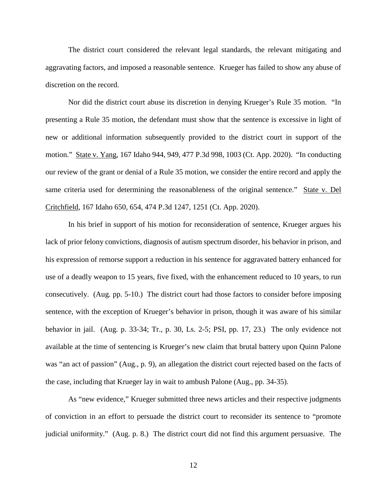The district court considered the relevant legal standards, the relevant mitigating and aggravating factors, and imposed a reasonable sentence. Krueger has failed to show any abuse of discretion on the record.

Nor did the district court abuse its discretion in denying Krueger's Rule 35 motion. "In presenting a Rule 35 motion, the defendant must show that the sentence is excessive in light of new or additional information subsequently provided to the district court in support of the motion." State v. Yang, 167 Idaho 944, 949, 477 P.3d 998, 1003 (Ct. App. 2020). "In conducting our review of the grant or denial of a Rule 35 motion, we consider the entire record and apply the same criteria used for determining the reasonableness of the original sentence." State v. Del Critchfield, 167 Idaho 650, 654, 474 P.3d 1247, 1251 (Ct. App. 2020).

In his brief in support of his motion for reconsideration of sentence, Krueger argues his lack of prior felony convictions, diagnosis of autism spectrum disorder, his behavior in prison, and his expression of remorse support a reduction in his sentence for aggravated battery enhanced for use of a deadly weapon to 15 years, five fixed, with the enhancement reduced to 10 years, to run consecutively. (Aug. pp. 5-10.) The district court had those factors to consider before imposing sentence, with the exception of Krueger's behavior in prison, though it was aware of his similar behavior in jail. (Aug. p. 33-34; Tr., p. 30, Ls. 2-5; PSI, pp. 17, 23.) The only evidence not available at the time of sentencing is Krueger's new claim that brutal battery upon Quinn Palone was "an act of passion" (Aug., p. 9), an allegation the district court rejected based on the facts of the case, including that Krueger lay in wait to ambush Palone (Aug., pp. 34-35).

As "new evidence," Krueger submitted three news articles and their respective judgments of conviction in an effort to persuade the district court to reconsider its sentence to "promote judicial uniformity." (Aug. p. 8.) The district court did not find this argument persuasive. The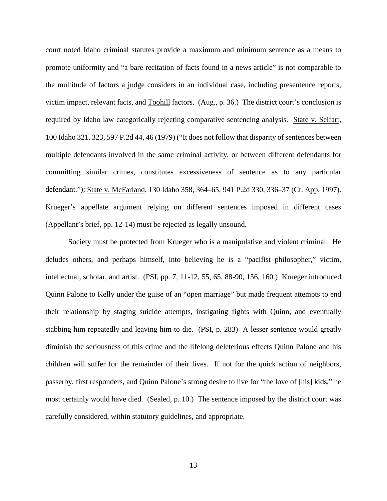court noted Idaho criminal statutes provide a maximum and minimum sentence as a means to promote uniformity and "a bare recitation of facts found in a news article" is not comparable to the multitude of factors a judge considers in an individual case, including presentence reports, victim impact, relevant facts, and Toohill factors. (Aug., p. 36.) The district court's conclusion is required by Idaho law categorically rejecting comparative sentencing analysis. State v. Seifart, 100 Idaho 321, 323, 597 P.2d 44, 46 (1979) ("It does not follow that disparity of sentences between multiple defendants involved in the same criminal activity, or between different defendants for committing similar crimes, constitutes excessiveness of sentence as to any particular defendant."); State v. McFarland, 130 Idaho 358, 364–65, 941 P.2d 330, 336–37 (Ct. App. 1997). Krueger's appellate argument relying on different sentences imposed in different cases (Appellant's brief, pp. 12-14) must be rejected as legally unsound.

 Society must be protected from Krueger who is a manipulative and violent criminal. He deludes others, and perhaps himself, into believing he is a "pacifist philosopher," victim, intellectual, scholar, and artist. (PSI, pp. 7, 11-12, 55, 65, 88-90, 156, 160.) Krueger introduced Quinn Palone to Kelly under the guise of an "open marriage" but made frequent attempts to end their relationship by staging suicide attempts, instigating fights with Quinn, and eventually stabbing him repeatedly and leaving him to die. (PSI, p. 283) A lesser sentence would greatly diminish the seriousness of this crime and the lifelong deleterious effects Quinn Palone and his children will suffer for the remainder of their lives. If not for the quick action of neighbors, passerby, first responders, and Quinn Palone's strong desire to live for "the love of [his] kids," he most certainly would have died. (Sealed, p. 10.) The sentence imposed by the district court was carefully considered, within statutory guidelines, and appropriate.